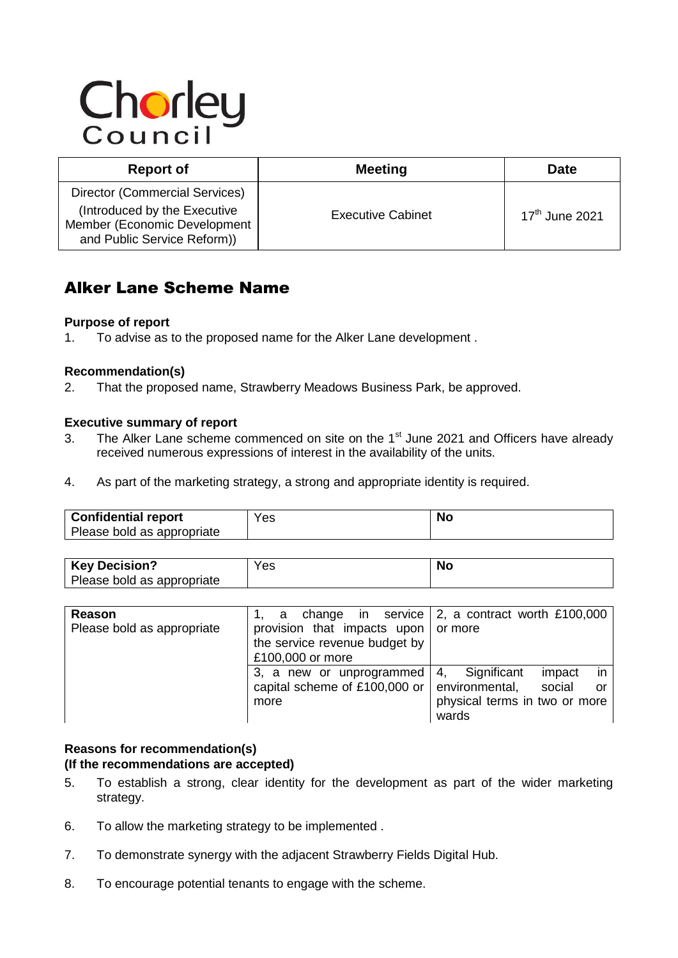# Chorley

| <b>Report of</b>                                                                                                              | <b>Meeting</b>           | <b>Date</b>      |
|-------------------------------------------------------------------------------------------------------------------------------|--------------------------|------------------|
| Director (Commercial Services)<br>(Introduced by the Executive<br>Member (Economic Development<br>and Public Service Reform)) | <b>Executive Cabinet</b> | $17th$ June 2021 |

# Alker Lane Scheme Name

# **Purpose of report**

1. To advise as to the proposed name for the Alker Lane development .

# **Recommendation(s)**

2. That the proposed name, Strawberry Meadows Business Park, be approved.

# **Executive summary of report**

- 3. The Alker Lane scheme commenced on site on the  $1<sup>st</sup>$  June 2021 and Officers have already received numerous expressions of interest in the availability of the units.
- 4. As part of the marketing strategy, a strong and appropriate identity is required.

| Confidential report<br>Please bold as appropriate | Yes                | No |
|---------------------------------------------------|--------------------|----|
|                                                   |                    |    |
| $ V_{\alpha\nu}$ Desision?                        | $V_{\alpha\alpha}$ |    |

| <b>Key Decision?</b>       | es' | I VI L |
|----------------------------|-----|--------|
| Please bold as appropriate |     |        |

| Reason                     | a                                 | change in service $\vert$ 2, a contract worth £100,000 |
|----------------------------|-----------------------------------|--------------------------------------------------------|
| Please bold as appropriate | provision that impacts upon       | or more                                                |
|                            | the service revenue budget by     |                                                        |
|                            | £100,000 or more                  |                                                        |
|                            | 3, a new or unprogrammed          | in<br>Significant<br>4.<br>impact                      |
|                            | capital scheme of £100,000 or $ $ | environmental,<br>social<br>or                         |
|                            | more                              | physical terms in two or more                          |
|                            |                                   | wards                                                  |

### **Reasons for recommendation(s) (If the recommendations are accepted)**

- 5. To establish a strong, clear identity for the development as part of the wider marketing strategy.
- 6. To allow the marketing strategy to be implemented .
- 7. To demonstrate synergy with the adjacent Strawberry Fields Digital Hub.
- 8. To encourage potential tenants to engage with the scheme.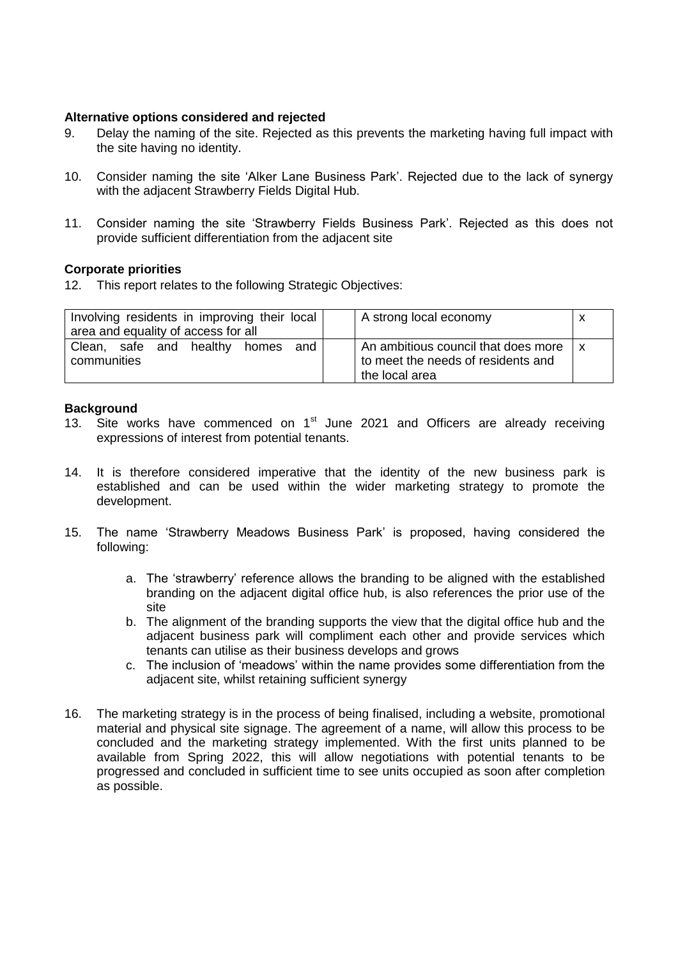# **Alternative options considered and rejected**

- 9. Delay the naming of the site. Rejected as this prevents the marketing having full impact with the site having no identity.
- 10. Consider naming the site 'Alker Lane Business Park'. Rejected due to the lack of synergy with the adjacent Strawberry Fields Digital Hub.
- 11. Consider naming the site 'Strawberry Fields Business Park'. Rejected as this does not provide sufficient differentiation from the adjacent site

#### **Corporate priorities**

12. This report relates to the following Strategic Objectives:

| Involving residents in improving their local<br>area and equality of access for all | A strong local economy                                                                      |  |
|-------------------------------------------------------------------------------------|---------------------------------------------------------------------------------------------|--|
| Clean, safe and healthy<br>and<br>homes<br>communities                              | An ambitious council that does more<br>to meet the needs of residents and<br>the local area |  |

#### **Background**

- 13. Site works have commenced on  $1<sup>st</sup>$  June 2021 and Officers are already receiving expressions of interest from potential tenants.
- 14. It is therefore considered imperative that the identity of the new business park is established and can be used within the wider marketing strategy to promote the development.
- 15. The name 'Strawberry Meadows Business Park' is proposed, having considered the following:
	- a. The 'strawberry' reference allows the branding to be aligned with the established branding on the adjacent digital office hub, is also references the prior use of the site
	- b. The alignment of the branding supports the view that the digital office hub and the adjacent business park will compliment each other and provide services which tenants can utilise as their business develops and grows
	- c. The inclusion of 'meadows' within the name provides some differentiation from the adjacent site, whilst retaining sufficient synergy
- 16. The marketing strategy is in the process of being finalised, including a website, promotional material and physical site signage. The agreement of a name, will allow this process to be concluded and the marketing strategy implemented. With the first units planned to be available from Spring 2022, this will allow negotiations with potential tenants to be progressed and concluded in sufficient time to see units occupied as soon after completion as possible.